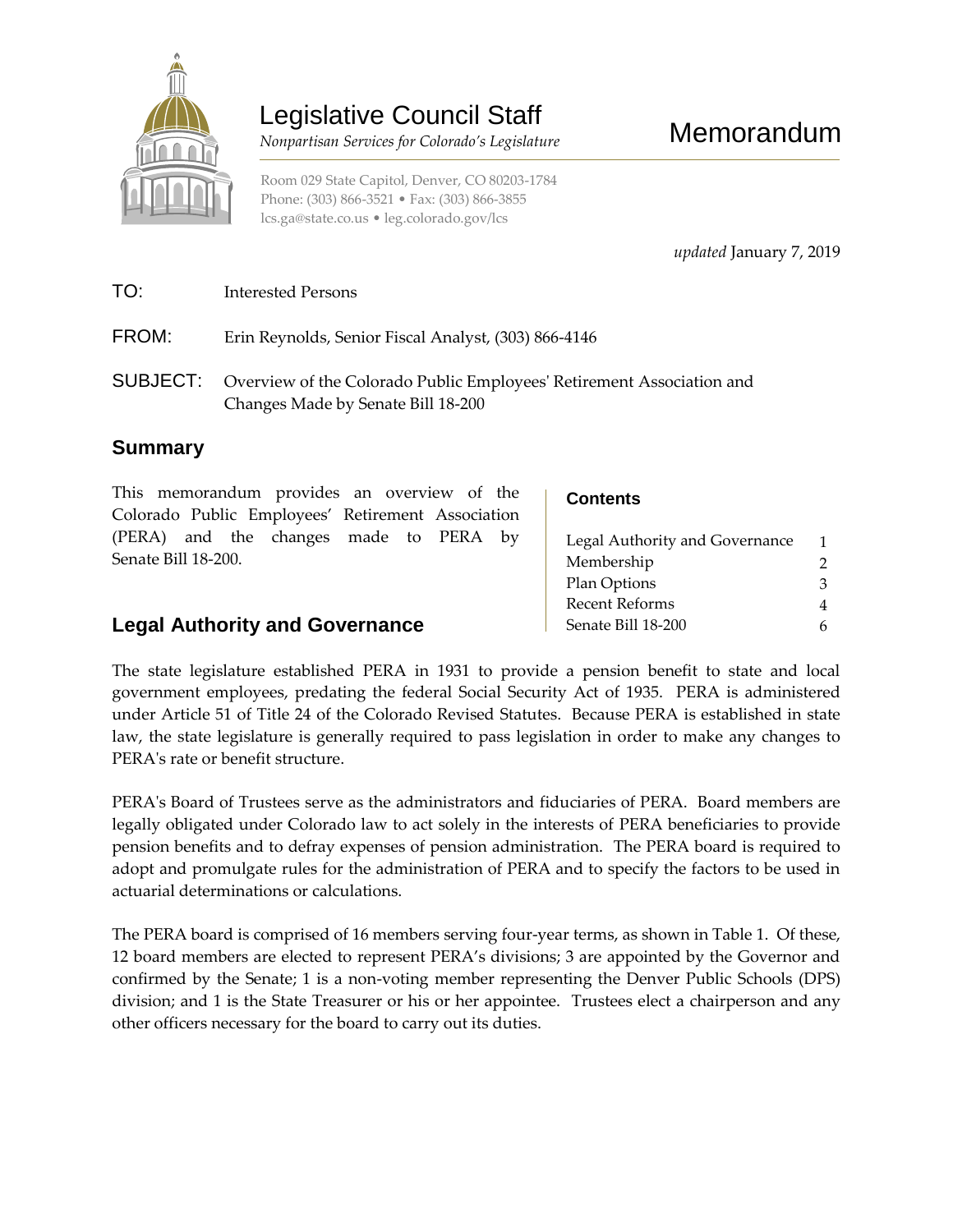

# Legislative Council Staff

 *Nonpartisan Services for Colorado's Legislature*

Room 029 State Capitol, Denver, CO 80203-1784 Phone: (303) 866-3521 • Fax: (303) 866-3855 [lcs.ga@state.co.us](mailto:lcs.ga@state.co.us) • [leg.colorado.gov/lcs](http://leg.colorado.gov/lcs)

*updated* January 7, 2019

# TO: Interested Persons

FROM: Erin Reynolds, Senior Fiscal Analyst, (303) 866-4146

SUBJECT: Overview of the Colorado Public Employees' Retirement Association and Changes Made by Senate Bill 18-200

# **Summary**

| This memorandum provides an overview of the       | <b>Contents</b>          |
|---------------------------------------------------|--------------------------|
| Colorado Public Employees' Retirement Association |                          |
| (PERA) and the changes made to PERA by            | Legal Authority and Gove |
| Senate Bill 18-200.                               | Membership               |
|                                                   | Plan Options             |

# **Legal Authority and Governance**

| Legal Authority and Governance |   |
|--------------------------------|---|
| Membership                     |   |
| Plan Options                   | 3 |
| Recent Reforms                 | 4 |
| Senate Bill 18-200             |   |
|                                |   |

The state legislature established PERA in 1931 to provide a pension benefit to state and local government employees, predating the federal Social Security Act of 1935. PERA is administered under Article 51 of Title 24 of the Colorado Revised Statutes. Because PERA is established in state law, the state legislature is generally required to pass legislation in order to make any changes to PERA's rate or benefit structure.

PERA's Board of Trustees serve as the administrators and fiduciaries of PERA. Board members are legally obligated under Colorado law to act solely in the interests of PERA beneficiaries to provide pension benefits and to defray expenses of pension administration. The PERA board is required to adopt and promulgate rules for the administration of PERA and to specify the factors to be used in actuarial determinations or calculations.

The PERA board is comprised of 16 members serving four-year terms, as shown in Table 1. Of these, 12 board members are elected to represent PERA's divisions; 3 are appointed by the Governor and confirmed by the Senate; 1 is a non-voting member representing the Denver Public Schools (DPS) division; and 1 is the State Treasurer or his or her appointee. Trustees elect a chairperson and any other officers necessary for the board to carry out its duties.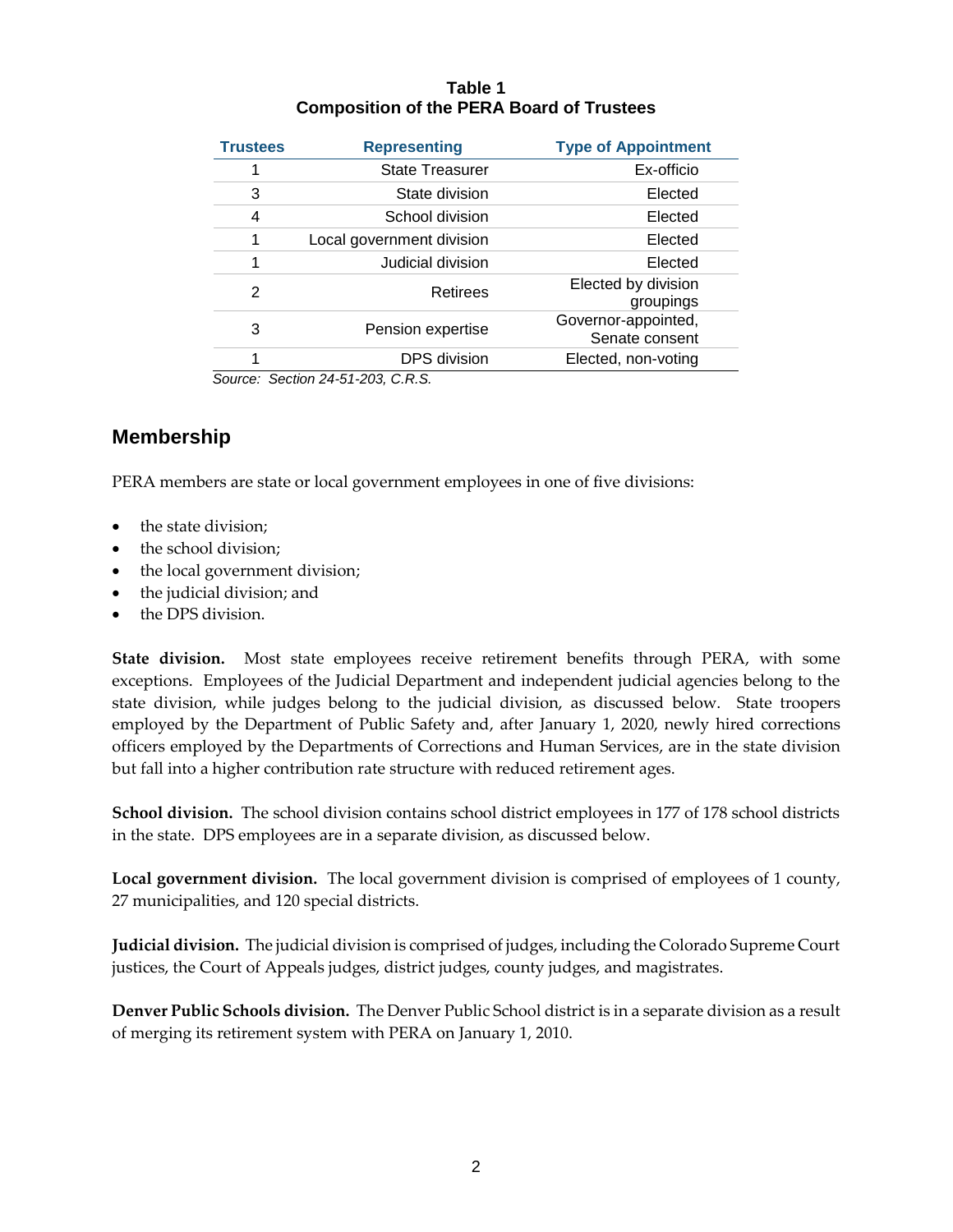#### **Table 1 Composition of the PERA Board of Trustees**

| <b>Trustees</b> | <b>Representing</b>       | <b>Type of Appointment</b>            |
|-----------------|---------------------------|---------------------------------------|
|                 | <b>State Treasurer</b>    | Ex-officio                            |
| 3               | State division            | Elected                               |
| 4               | School division           | Elected                               |
|                 | Local government division | Elected                               |
|                 | Judicial division         | Elected                               |
| 2               | Retirees                  | Elected by division<br>groupings      |
| 3               | Pension expertise         | Governor-appointed,<br>Senate consent |
|                 | <b>DPS</b> division       | Elected, non-voting                   |

 *Source: Section 24-51-203, C.R.S.*

# **Membership**

PERA members are state or local government employees in one of five divisions:

- the state division;
- the school division;
- the local government division;
- the judicial division; and
- the DPS division.

**State division.**Most state employees receive retirement benefits through PERA, with some exceptions. Employees of the Judicial Department and independent judicial agencies belong to the state division, while judges belong to the judicial division, as discussed below. State troopers employed by the Department of Public Safety and, after January 1, 2020, newly hired corrections officers employed by the Departments of Corrections and Human Services, are in the state division but fall into a higher contribution rate structure with reduced retirement ages.

**School division.** The school division contains school district employees in 177 of 178 school districts in the state. DPS employees are in a separate division, as discussed below.

Local government division. The local government division is comprised of employees of 1 county, 27 municipalities, and 120 special districts.

**Judicial division.**The judicial division is comprised of judges, including the Colorado Supreme Court justices, the Court of Appeals judges, district judges, county judges, and magistrates.

**Denver Public Schools division.** The Denver Public School district is in a separate division as a result of merging its retirement system with PERA on January 1, 2010.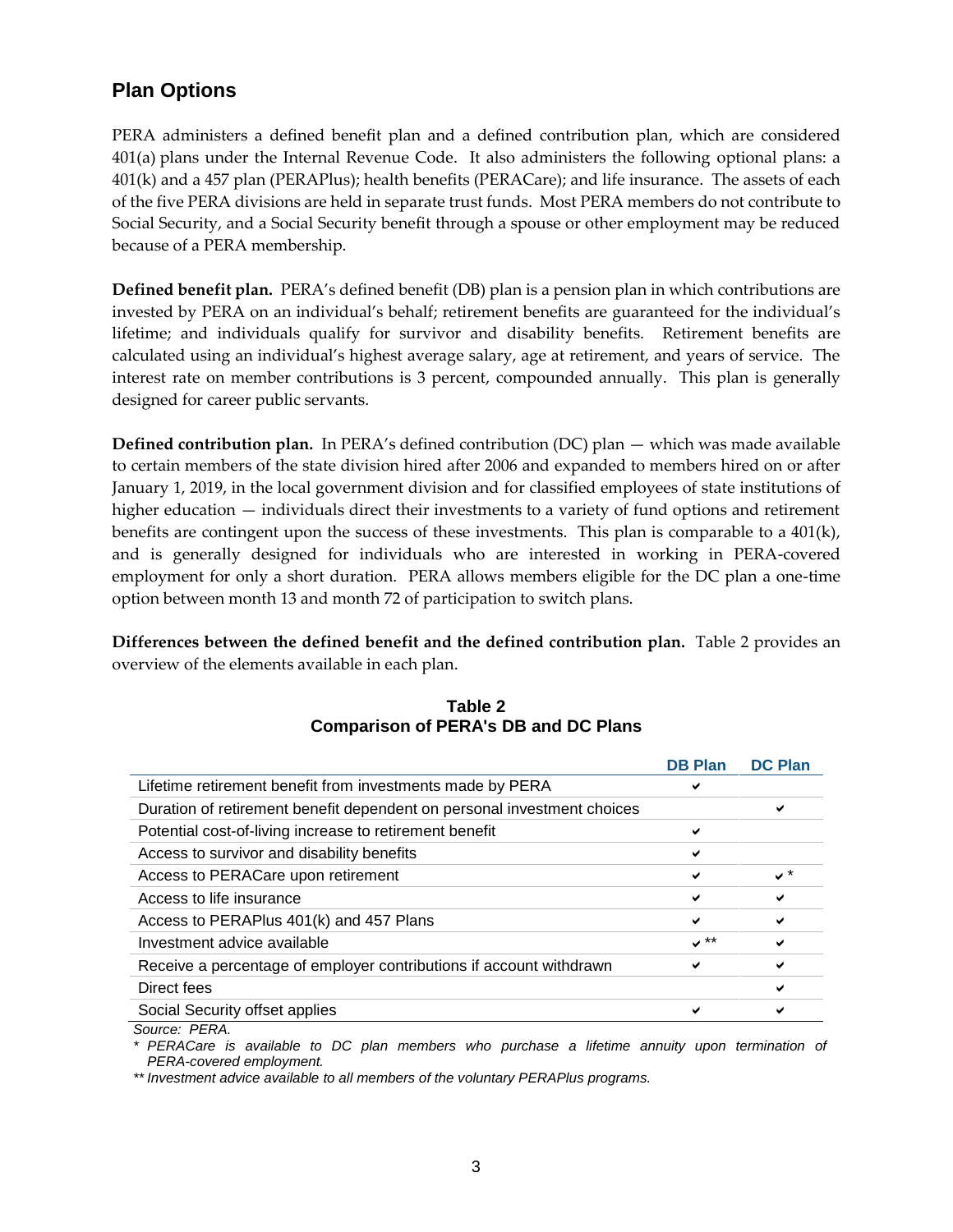# **Plan Options**

PERA administers a defined benefit plan and a defined contribution plan, which are considered 401(a) plans under the Internal Revenue Code. It also administers the following optional plans: a 401(k) and a 457 plan (PERAPlus); health benefits (PERACare); and life insurance. The assets of each of the five PERA divisions are held in separate trust funds. Most PERA members do not contribute to Social Security, and a Social Security benefit through a spouse or other employment may be reduced because of a PERA membership.

**Defined benefit plan.**PERA's defined benefit (DB) plan is a pension plan in which contributions are invested by PERA on an individual's behalf; retirement benefits are guaranteed for the individual's lifetime; and individuals qualify for survivor and disability benefits. Retirement benefits are calculated using an individual's highest average salary, age at retirement, and years of service. The interest rate on member contributions is 3 percent, compounded annually. This plan is generally designed for career public servants.

**Defined contribution plan.**In PERA's defined contribution (DC) plan — which was made available to certain members of the state division hired after 2006 and expanded to members hired on or after January 1, 2019, in the local government division and for classified employees of state institutions of higher education — individuals direct their investments to a variety of fund options and retirement benefits are contingent upon the success of these investments. This plan is comparable to a 401(k), and is generally designed for individuals who are interested in working in PERA-covered employment for only a short duration. PERA allows members eligible for the DC plan a one-time option between month 13 and month 72 of participation to switch plans.

**Differences between the defined benefit and the defined contribution plan.**Table 2 provides an overview of the elements available in each plan.

|                                                                         | <b>DB Plan</b> | <b>DC Plan</b> |
|-------------------------------------------------------------------------|----------------|----------------|
| Lifetime retirement benefit from investments made by PERA               |                |                |
| Duration of retirement benefit dependent on personal investment choices |                |                |
| Potential cost-of-living increase to retirement benefit                 | ✔              |                |
| Access to survivor and disability benefits                              | ✔              |                |
| Access to PERACare upon retirement                                      |                | $\checkmark$   |
| Access to life insurance                                                |                |                |
| Access to PERAPlus 401(k) and 457 Plans                                 | ✔              |                |
| Investment advice available                                             | " √            |                |
| Receive a percentage of employer contributions if account withdrawn     |                |                |
| Direct fees                                                             |                | ✔              |
| Social Security offset applies                                          |                |                |
|                                                                         |                |                |

**Table 2 Comparison of PERA's DB and DC Plans**

*Source: PERA.*

*\* PERACare is available to DC plan members who purchase a lifetime annuity upon termination of PERA-covered employment.*

*\*\* Investment advice available to all members of the voluntary PERAPlus programs.*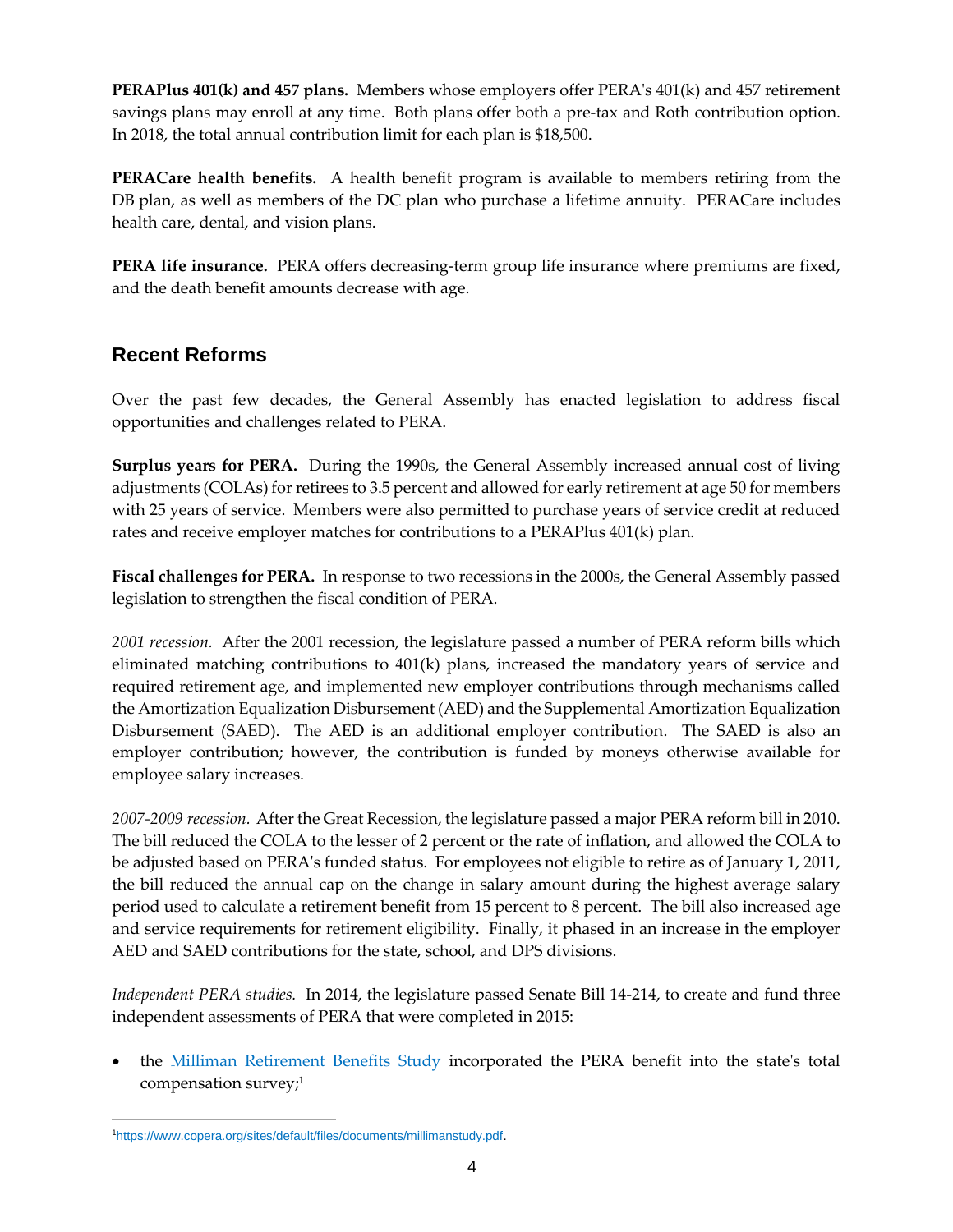**PERAPlus 401(k) and 457 plans.** Members whose employers offer PERA's 401(k) and 457 retirement savings plans may enroll at any time. Both plans offer both a pre-tax and Roth contribution option. In 2018, the total annual contribution limit for each plan is \$18,500.

**PERACare health benefits.** A health benefit program is available to members retiring from the DB plan, as well as members of the DC plan who purchase a lifetime annuity. PERACare includes health care, dental, and vision plans.

**PERA life insurance.** PERA offers decreasing-term group life insurance where premiums are fixed, and the death benefit amounts decrease with age.

# **Recent Reforms**

Over the past few decades, the General Assembly has enacted legislation to address fiscal opportunities and challenges related to PERA.

**Surplus years for PERA.** During the 1990s, the General Assembly increased annual cost of living adjustments (COLAs) for retirees to 3.5 percent and allowed for early retirement at age 50 for members with 25 years of service. Members were also permitted to purchase years of service credit at reduced rates and receive employer matches for contributions to a PERAPlus 401(k) plan.

**Fiscal challenges for PERA.** In response to two recessions in the 2000s, the General Assembly passed legislation to strengthen the fiscal condition of PERA.

*2001 recession.* After the 2001 recession, the legislature passed a number of PERA reform bills which eliminated matching contributions to 401(k) plans, increased the mandatory years of service and required retirement age, and implemented new employer contributions through mechanisms called the Amortization Equalization Disbursement (AED) and the Supplemental Amortization Equalization Disbursement (SAED). The AED is an additional employer contribution. The SAED is also an employer contribution; however, the contribution is funded by moneys otherwise available for employee salary increases.

*2007-2009 recession.* After the Great Recession, the legislature passed a major PERA reform bill in 2010. The bill reduced the COLA to the lesser of 2 percent or the rate of inflation, and allowed the COLA to be adjusted based on PERA's funded status. For employees not eligible to retire as of January 1, 2011, the bill reduced the annual cap on the change in salary amount during the highest average salary period used to calculate a retirement benefit from 15 percent to 8 percent. The bill also increased age and service requirements for retirement eligibility. Finally, it phased in an increase in the employer AED and SAED contributions for the state, school, and DPS divisions.

*Independent PERA studies.* In 2014, the legislature passed Senate Bill 14-214, to create and fund three independent assessments of PERA that were completed in 2015:

 the [Milliman Retirement Benefits Study](https://www.copera.org/sites/default/files/documents/millimanstudy.pdf) incorporated the PERA benefit into the state's total compensation survey; 1

 $\overline{a}$ 1[https://www.copera.org/sites/default/files/documents/millimanstudy.pdf.](https://www.copera.org/sites/default/files/documents/millimanstudy.pdf)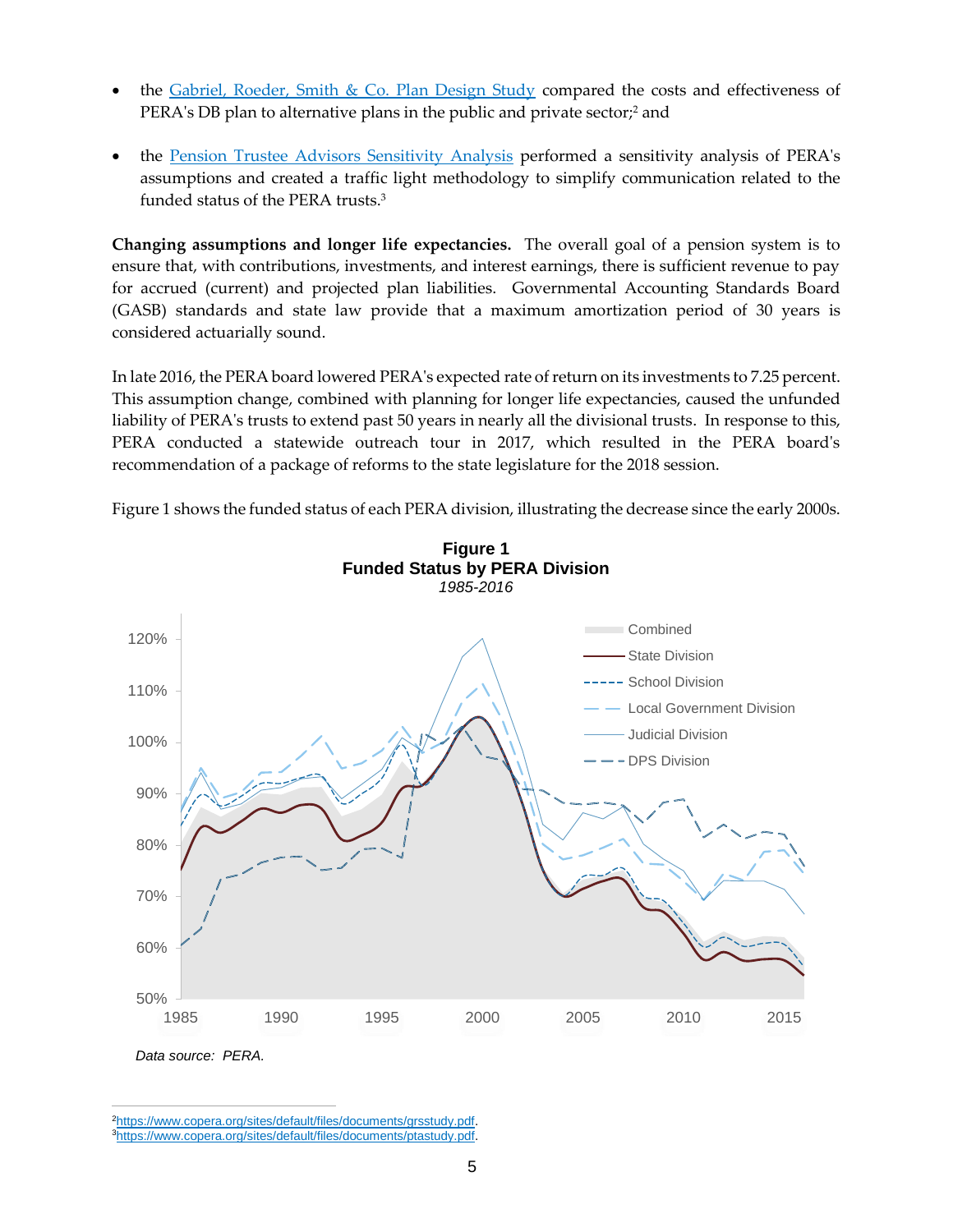- the [Gabriel, Roeder, Smith & Co. Plan Design Study](https://www.copera.org/sites/default/files/documents/grsstudy.pdf) compared the costs and effectiveness of PERA's DB plan to alternative plans in the public and private sector;<sup>2</sup> and
- the [Pension Trustee Advisors Sensitivity Analysis](https://www.copera.org/sites/default/files/documents/ptastudy.pdf) performed a sensitivity analysis of PERA's assumptions and created a traffic light methodology to simplify communication related to the funded status of the PERA trusts. 3

**Changing assumptions and longer life expectancies.**The overall goal of a pension system is to ensure that, with contributions, investments, and interest earnings, there is sufficient revenue to pay for accrued (current) and projected plan liabilities. Governmental Accounting Standards Board (GASB) standards and state law provide that a maximum amortization period of 30 years is considered actuarially sound.

In late 2016, the PERA board lowered PERA's expected rate of return on its investments to 7.25 percent. This assumption change, combined with planning for longer life expectancies, caused the unfunded liability of PERA's trusts to extend past 50 years in nearly all the divisional trusts. In response to this, PERA conducted a statewide outreach tour in 2017, which resulted in the PERA board's recommendation of a package of reforms to the state legislature for the 2018 session.

Figure 1 shows the funded status of each PERA division, illustrating the decrease since the early 2000s.



<sup>2</sup>[https://www.copera.org/sites/default/files/documents/grsstudy.pdf.](https://www.copera.org/sites/default/files/documents/grsstudy.pdf) <sup>3</sup>[https://www.copera.org/sites/default/files/documents/ptastudy.pdf.](https://www.copera.org/sites/default/files/documents/ptastudy.pdf)

 $\overline{a}$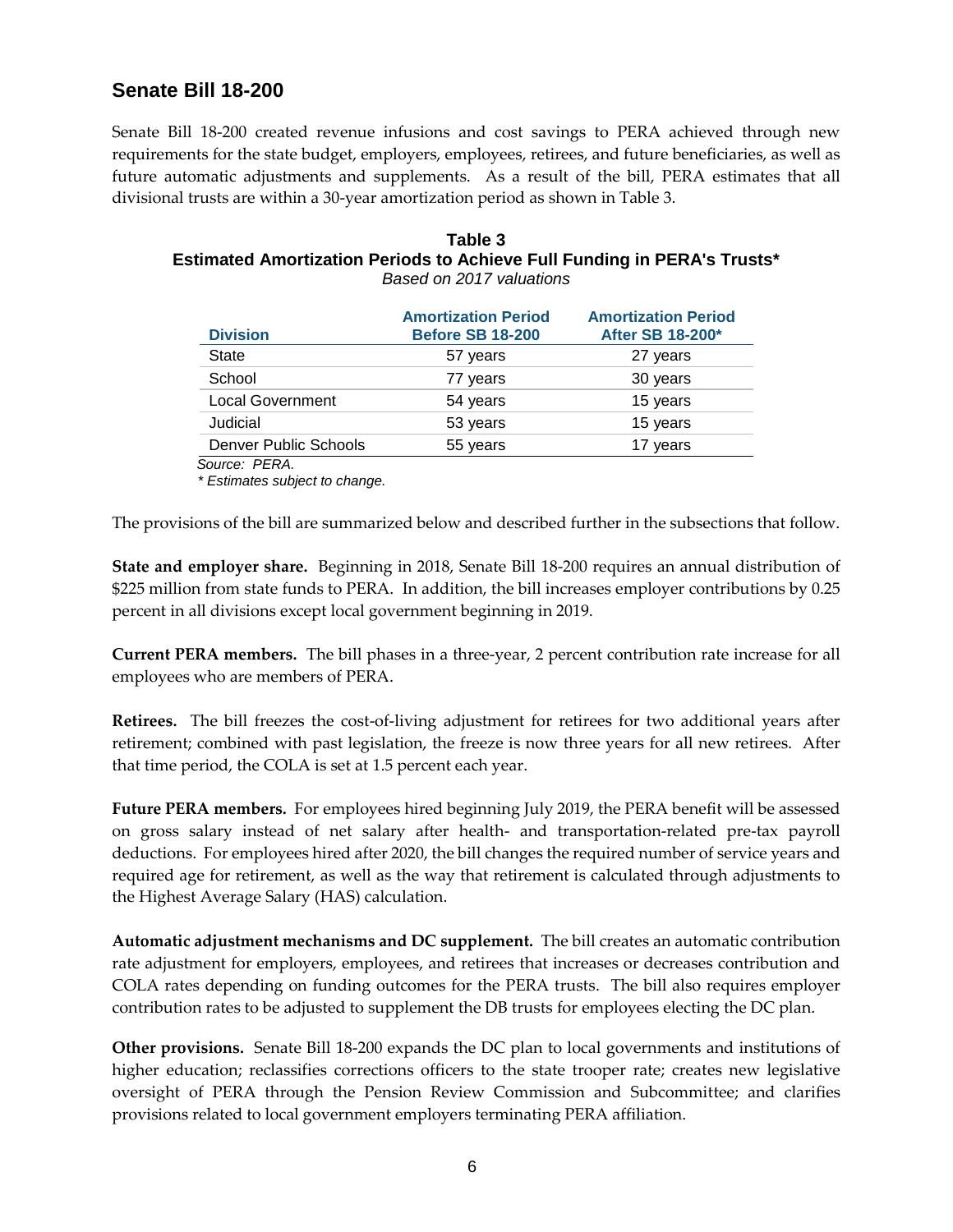# **Senate Bill 18-200**

Senate Bill 18-200 created revenue infusions and cost savings to PERA achieved through new requirements for the state budget, employers, employees, retirees, and future beneficiaries, as well as future automatic adjustments and supplements. As a result of the bill, PERA estimates that all divisional trusts are within a 30-year amortization period as shown in Table 3.

#### **Table 3 Estimated Amortization Periods to Achieve Full Funding in PERA's Trusts\*** *Based on 2017 valuations*

| <b>Division</b>              | <b>Amortization Period</b><br><b>Before SB 18-200</b> | <b>Amortization Period</b><br>After SB 18-200* |
|------------------------------|-------------------------------------------------------|------------------------------------------------|
| State                        | 57 years                                              | 27 years                                       |
| School                       | 77 years                                              | 30 years                                       |
| <b>Local Government</b>      | 54 years                                              | 15 years                                       |
| Judicial                     | 53 years                                              | 15 years                                       |
| <b>Denver Public Schools</b> | 55 years                                              | 17 years                                       |
| 0 <b></b>                    |                                                       |                                                |

 *Source: PERA.* 

 *\* Estimates subject to change.*

The provisions of the bill are summarized below and described further in the subsections that follow.

**State and employer share.** Beginning in 2018, Senate Bill 18-200 requires an annual distribution of \$225 million from state funds to PERA. In addition, the bill increases employer contributions by 0.25 percent in all divisions except local government beginning in 2019.

**Current PERA members.** The bill phases in a three-year, 2 percent contribution rate increase for all employees who are members of PERA.

**Retirees.** The bill freezes the cost-of-living adjustment for retirees for two additional years after retirement; combined with past legislation, the freeze is now three years for all new retirees. After that time period, the COLA is set at 1.5 percent each year.

**Future PERA members.** For employees hired beginning July 2019, the PERA benefit will be assessed on gross salary instead of net salary after health- and transportation-related pre-tax payroll deductions. For employees hired after 2020, the bill changes the required number of service years and required age for retirement, as well as the way that retirement is calculated through adjustments to the Highest Average Salary (HAS) calculation.

**Automatic adjustment mechanisms and DC supplement.** The bill creates an automatic contribution rate adjustment for employers, employees, and retirees that increases or decreases contribution and COLA rates depending on funding outcomes for the PERA trusts. The bill also requires employer contribution rates to be adjusted to supplement the DB trusts for employees electing the DC plan.

**Other provisions.** Senate Bill 18-200 expands the DC plan to local governments and institutions of higher education; reclassifies corrections officers to the state trooper rate; creates new legislative oversight of PERA through the Pension Review Commission and Subcommittee; and clarifies provisions related to local government employers terminating PERA affiliation.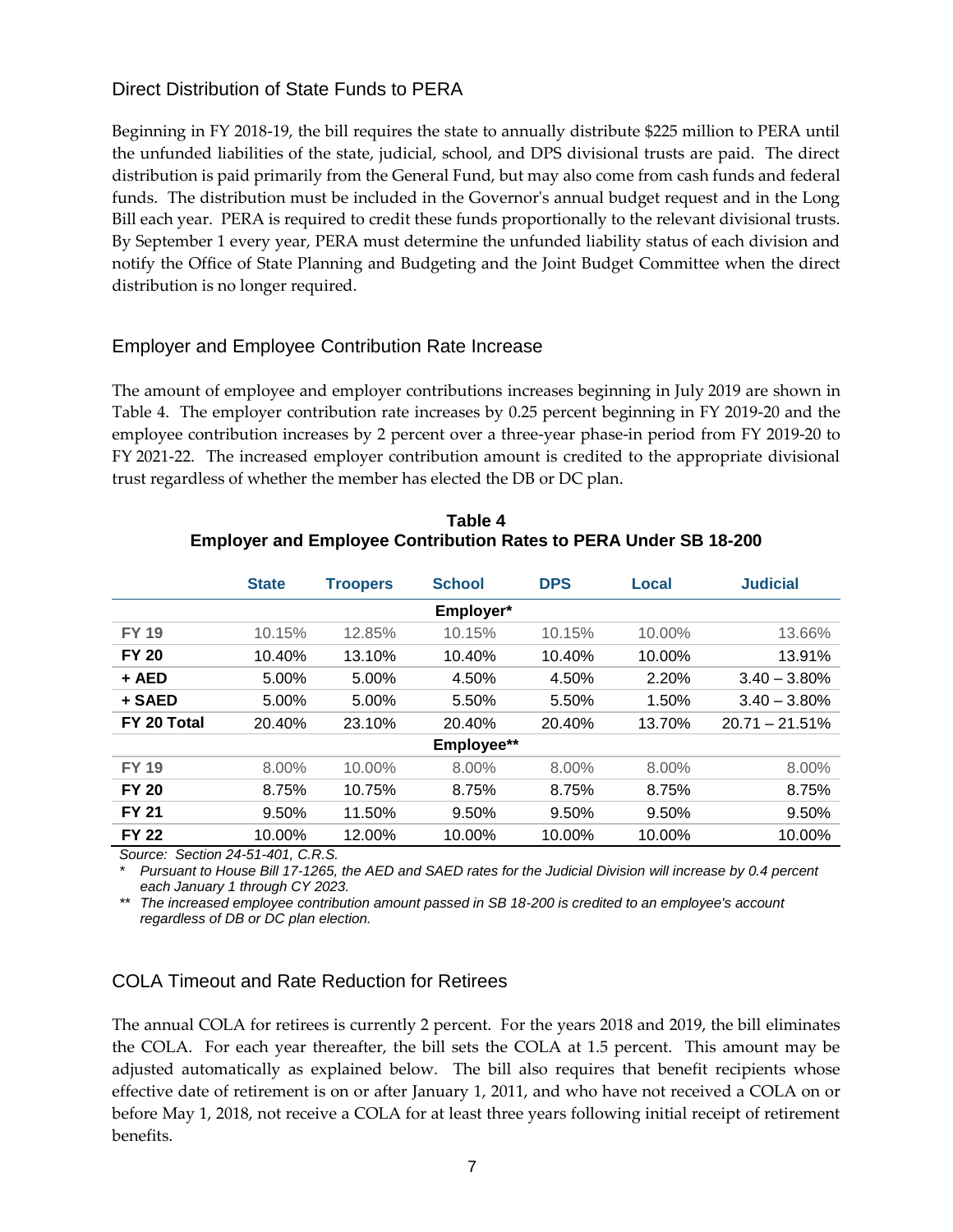## Direct Distribution of State Funds to PERA

Beginning in FY 2018-19, the bill requires the state to annually distribute \$225 million to PERA until the unfunded liabilities of the state, judicial, school, and DPS divisional trusts are paid. The direct distribution is paid primarily from the General Fund, but may also come from cash funds and federal funds. The distribution must be included in the Governor's annual budget request and in the Long Bill each year. PERA is required to credit these funds proportionally to the relevant divisional trusts. By September 1 every year, PERA must determine the unfunded liability status of each division and notify the Office of State Planning and Budgeting and the Joint Budget Committee when the direct distribution is no longer required.

# Employer and Employee Contribution Rate Increase

The amount of employee and employer contributions increases beginning in July 2019 are shown in Table 4. The employer contribution rate increases by 0.25 percent beginning in FY 2019-20 and the employee contribution increases by 2 percent over a three-year phase-in period from FY 2019-20 to FY 2021-22. The increased employer contribution amount is credited to the appropriate divisional trust regardless of whether the member has elected the DB or DC plan.

|              | <b>State</b> | <b>Troopers</b> | <b>School</b> | <b>DPS</b> | Local  | <b>Judicial</b>   |
|--------------|--------------|-----------------|---------------|------------|--------|-------------------|
|              |              |                 | Employer*     |            |        |                   |
| <b>FY 19</b> | 10.15%       | 12.85%          | 10.15%        | 10.15%     | 10.00% | 13.66%            |
| <b>FY 20</b> | 10.40%       | 13.10%          | 10.40%        | 10.40%     | 10.00% | 13.91%            |
| + AED        | 5.00%        | 5.00%           | 4.50%         | 4.50%      | 2.20%  | $3.40 - 3.80\%$   |
| + SAED       | 5.00%        | 5.00%           | 5.50%         | 5.50%      | 1.50%  | $3.40 - 3.80\%$   |
| FY 20 Total  | 20.40%       | 23.10%          | 20.40%        | 20.40%     | 13.70% | $20.71 - 21.51\%$ |
|              |              |                 | Employee**    |            |        |                   |
| <b>FY 19</b> | 8.00%        | 10.00%          | 8.00%         | 8.00%      | 8.00%  | 8.00%             |
| <b>FY 20</b> | 8.75%        | 10.75%          | 8.75%         | 8.75%      | 8.75%  | 8.75%             |
| <b>FY 21</b> | 9.50%        | 11.50%          | 9.50%         | 9.50%      | 9.50%  | 9.50%             |
| <b>FY 22</b> | 10.00%       | 12.00%          | 10.00%        | 10.00%     | 10.00% | 10.00%            |

| Table 4                                                                 |
|-------------------------------------------------------------------------|
| <b>Employer and Employee Contribution Rates to PERA Under SB 18-200</b> |

*Source: Section 24-51-401, C.R.S.*

*\* Pursuant to House Bill 17-1265, the AED and SAED rates for the Judicial Division will increase by 0.4 percent each January 1 through CY 2023.*

*\*\* The increased employee contribution amount passed in SB 18-200 is credited to an employee's account regardless of DB or DC plan election.*

#### COLA Timeout and Rate Reduction for Retirees

The annual COLA for retirees is currently 2 percent. For the years 2018 and 2019, the bill eliminates the COLA. For each year thereafter, the bill sets the COLA at 1.5 percent. This amount may be adjusted automatically as explained below. The bill also requires that benefit recipients whose effective date of retirement is on or after January 1, 2011, and who have not received a COLA on or before May 1, 2018, not receive a COLA for at least three years following initial receipt of retirement benefits.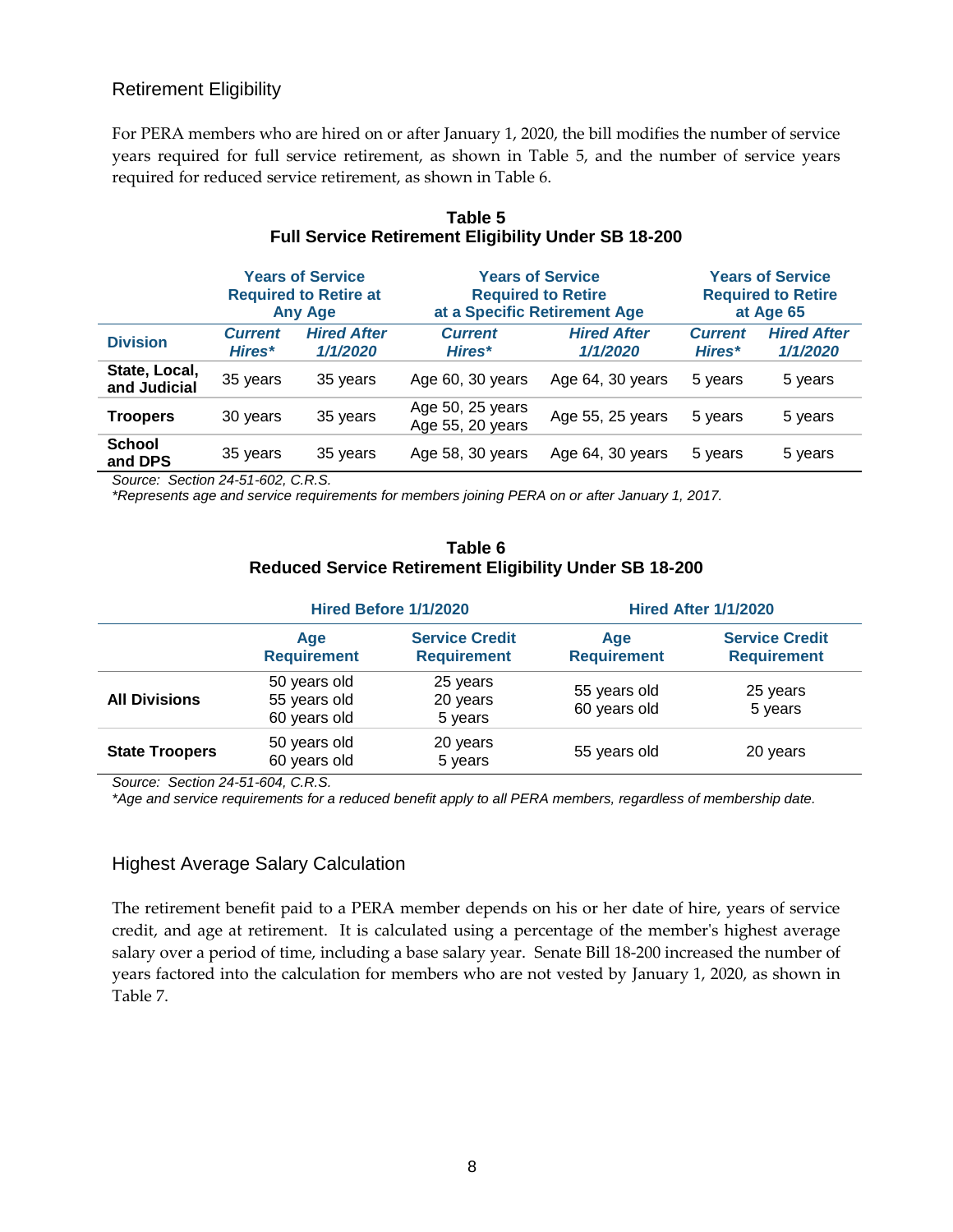### Retirement Eligibility

For PERA members who are hired on or after January 1, 2020, the bill modifies the number of service years required for full service retirement, as shown in Table 5, and the number of service years required for reduced service retirement, as shown in Table 6.

|                               | <b>Years of Service</b><br><b>Required to Retire at</b><br><b>Any Age</b> |                                | <b>Required to Retire</b><br>at a Specific Retirement Age | <b>Years of Service</b>        |                          | <b>Years of Service</b><br><b>Required to Retire</b><br>at Age 65 |
|-------------------------------|---------------------------------------------------------------------------|--------------------------------|-----------------------------------------------------------|--------------------------------|--------------------------|-------------------------------------------------------------------|
| <b>Division</b>               | <b>Current</b><br>Hires*                                                  | <b>Hired After</b><br>1/1/2020 | <b>Current</b><br>Hires*                                  | <b>Hired After</b><br>1/1/2020 | <b>Current</b><br>Hires* | <b>Hired After</b><br>1/1/2020                                    |
| State, Local,<br>and Judicial | 35 years                                                                  | 35 years                       | Age 60, 30 years                                          | Age 64, 30 years               | 5 years                  | 5 years                                                           |
| <b>Troopers</b>               | 30 years                                                                  | 35 years                       | Age 50, 25 years<br>Age 55, 20 years                      | Age 55, 25 years               | 5 years                  | 5 years                                                           |
| <b>School</b><br>and DPS      | 35 years                                                                  | 35 years                       | Age 58, 30 years                                          | Age 64, 30 years               | 5 years                  | 5 years                                                           |

### **Table 5 Full Service Retirement Eligibility Under SB 18-200**

*Source: Section 24-51-602, C.R.S.*

*\*Represents age and service requirements for members joining PERA on or after January 1, 2017.*

| Table 6                                                       |
|---------------------------------------------------------------|
| <b>Reduced Service Retirement Eligibility Under SB 18-200</b> |

|                       | Hired Before 1/1/2020                        |                                             | <b>Hired After 1/1/2020</b>  |                                             |
|-----------------------|----------------------------------------------|---------------------------------------------|------------------------------|---------------------------------------------|
|                       | Age<br><b>Requirement</b>                    | <b>Service Credit</b><br><b>Requirement</b> | Age<br><b>Requirement</b>    | <b>Service Credit</b><br><b>Requirement</b> |
| <b>All Divisions</b>  | 50 years old<br>55 years old<br>60 years old | 25 years<br>20 years<br>5 years             | 55 years old<br>60 years old | 25 years<br>5 years                         |
| <b>State Troopers</b> | 50 years old<br>60 years old                 | 20 years<br>5 years                         | 55 years old                 | 20 years                                    |

*Source: Section 24-51-604, C.R.S.*

*\*Age and service requirements for a reduced benefit apply to all PERA members, regardless of membership date.*

#### Highest Average Salary Calculation

The retirement benefit paid to a PERA member depends on his or her date of hire, years of service credit, and age at retirement. It is calculated using a percentage of the member's highest average salary over a period of time, including a base salary year. Senate Bill 18-200 increased the number of years factored into the calculation for members who are not vested by January 1, 2020, as shown in Table 7.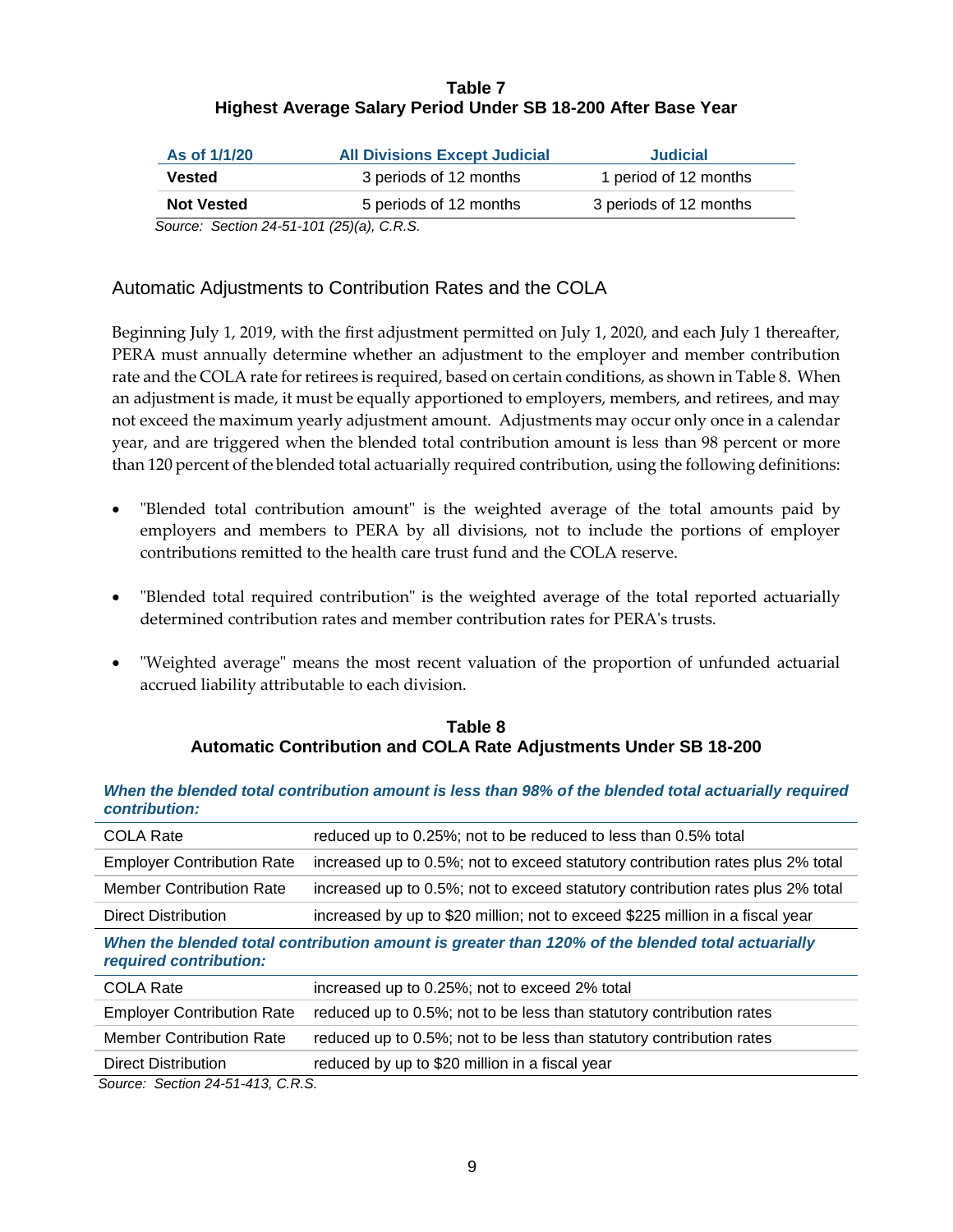#### **Table 7 Highest Average Salary Period Under SB 18-200 After Base Year**

| As of 1/1/20      | <b>All Divisions Except Judicial</b> | <b>Judicial</b>        |
|-------------------|--------------------------------------|------------------------|
| Vested            | 3 periods of 12 months               | 1 period of 12 months  |
| <b>Not Vested</b> | 5 periods of 12 months               | 3 periods of 12 months |

*Source: Section 24-51-101 (25)(a), C.R.S.*

# Automatic Adjustments to Contribution Rates and the COLA

Beginning July 1, 2019, with the first adjustment permitted on July 1, 2020, and each July 1 thereafter, PERA must annually determine whether an adjustment to the employer and member contribution rate and the COLA rate for retirees is required, based on certain conditions, as shown in Table 8. When an adjustment is made, it must be equally apportioned to employers, members, and retirees, and may not exceed the maximum yearly adjustment amount. Adjustments may occur only once in a calendar year, and are triggered when the blended total contribution amount is less than 98 percent or more than 120 percent of the blended total actuarially required contribution, using the following definitions:

- "Blended total contribution amount" is the weighted average of the total amounts paid by employers and members to PERA by all divisions, not to include the portions of employer contributions remitted to the health care trust fund and the COLA reserve.
- "Blended total required contribution" is the weighted average of the total reported actuarially determined contribution rates and member contribution rates for PERA's trusts.
- "Weighted average" means the most recent valuation of the proportion of unfunded actuarial accrued liability attributable to each division.

#### **Table 8 Automatic Contribution and COLA Rate Adjustments Under SB 18-200**

| сопиточноп.                       |                                                                                                  |
|-----------------------------------|--------------------------------------------------------------------------------------------------|
| <b>COLA Rate</b>                  | reduced up to 0.25%; not to be reduced to less than 0.5% total                                   |
| <b>Employer Contribution Rate</b> | increased up to 0.5%; not to exceed statutory contribution rates plus 2% total                   |
| <b>Member Contribution Rate</b>   | increased up to 0.5%; not to exceed statutory contribution rates plus 2% total                   |
| Direct Distribution               | increased by up to \$20 million; not to exceed \$225 million in a fiscal year                    |
| required contribution:            | When the blended total contribution amount is greater than 120% of the blended total actuarially |
| <b>COLA Rate</b>                  | increased up to 0.25%; not to exceed 2% total                                                    |
| <b>Employer Contribution Rate</b> | reduced up to 0.5%; not to be less than statutory contribution rates                             |
| <b>Member Contribution Rate</b>   | reduced up to 0.5%; not to be less than statutory contribution rates                             |
| Direct Distribution               | reduced by up to \$20 million in a fiscal year                                                   |

*When the blended total contribution amount is less than 98% of the blended total actuarially required contribution:*

*Source: Section 24-51-413, C.R.S.*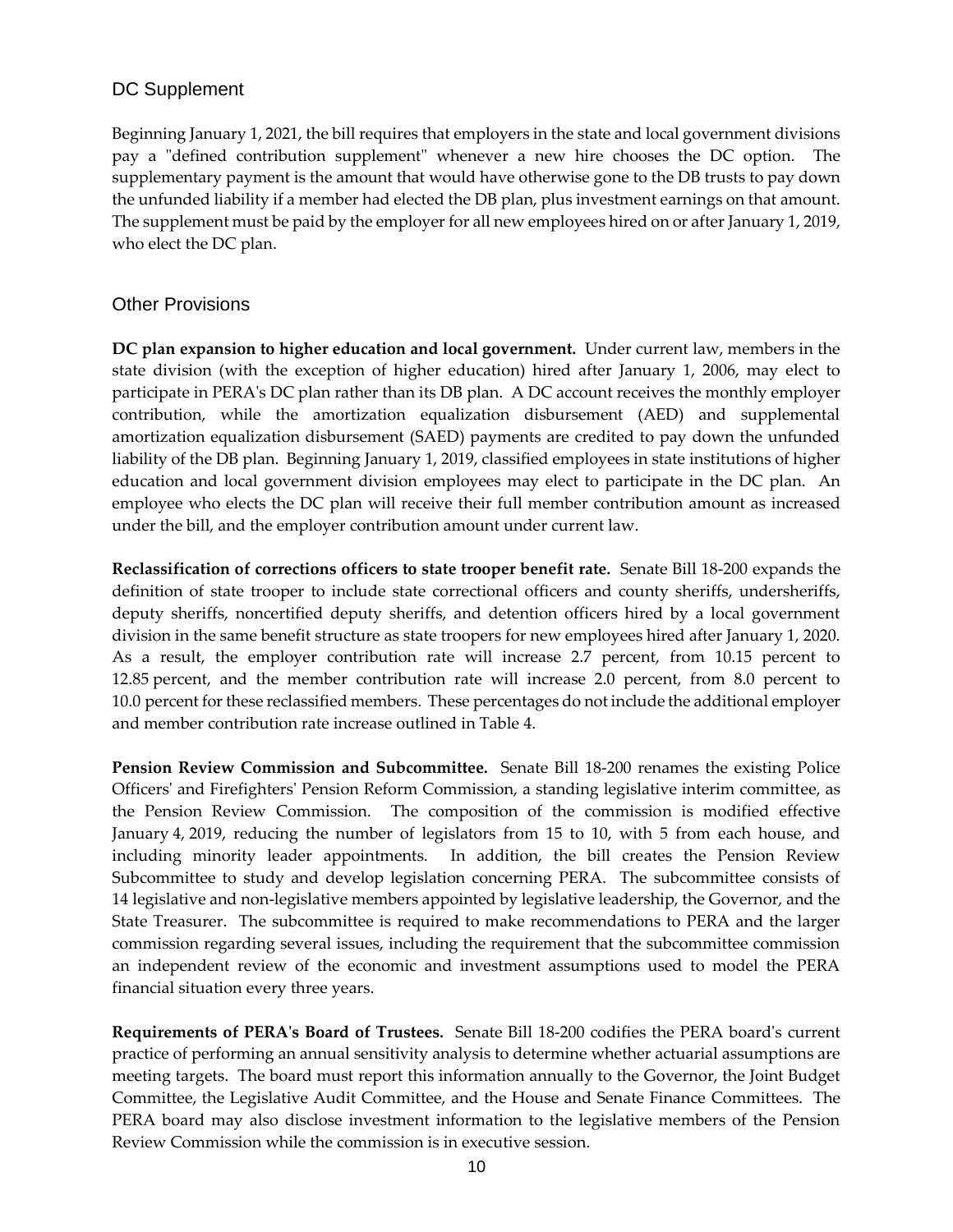### DC Supplement

Beginning January 1, 2021, the bill requires that employers in the state and local government divisions pay a "defined contribution supplement" whenever a new hire chooses the DC option. The supplementary payment is the amount that would have otherwise gone to the DB trusts to pay down the unfunded liability if a member had elected the DB plan, plus investment earnings on that amount. The supplement must be paid by the employer for all new employees hired on or after January 1, 2019, who elect the DC plan.

#### Other Provisions

**DC plan expansion to higher education and local government.** Under current law, members in the state division (with the exception of higher education) hired after January 1, 2006, may elect to participate in PERA's DC plan rather than its DB plan. A DC account receives the monthly employer contribution, while the amortization equalization disbursement (AED) and supplemental amortization equalization disbursement (SAED) payments are credited to pay down the unfunded liability of the DB plan. Beginning January 1, 2019, classified employees in state institutions of higher education and local government division employees may elect to participate in the DC plan. An employee who elects the DC plan will receive their full member contribution amount as increased under the bill, and the employer contribution amount under current law.

**Reclassification of corrections officers to state trooper benefit rate.**Senate Bill 18-200 expands the definition of state trooper to include state correctional officers and county sheriffs, undersheriffs, deputy sheriffs, noncertified deputy sheriffs, and detention officers hired by a local government division in the same benefit structure as state troopers for new employees hired after January 1, 2020. As a result, the employer contribution rate will increase 2.7 percent, from 10.15 percent to 12.85 percent, and the member contribution rate will increase 2.0 percent, from 8.0 percent to 10.0 percent for these reclassified members. These percentages do not include the additional employer and member contribution rate increase outlined in Table 4.

**Pension Review Commission and Subcommittee.** Senate Bill 18-200 renames the existing Police Officers' and Firefighters' Pension Reform Commission, a standing legislative interim committee, as the Pension Review Commission. The composition of the commission is modified effective January 4, 2019, reducing the number of legislators from 15 to 10, with 5 from each house, and including minority leader appointments. In addition, the bill creates the Pension Review Subcommittee to study and develop legislation concerning PERA. The subcommittee consists of 14 legislative and non-legislative members appointed by legislative leadership, the Governor, and the State Treasurer. The subcommittee is required to make recommendations to PERA and the larger commission regarding several issues, including the requirement that the subcommittee commission an independent review of the economic and investment assumptions used to model the PERA financial situation every three years.

**Requirements of PERA's Board of Trustees.** Senate Bill 18-200 codifies the PERA board's current practice of performing an annual sensitivity analysis to determine whether actuarial assumptions are meeting targets. The board must report this information annually to the Governor, the Joint Budget Committee, the Legislative Audit Committee, and the House and Senate Finance Committees. The PERA board may also disclose investment information to the legislative members of the Pension Review Commission while the commission is in executive session.